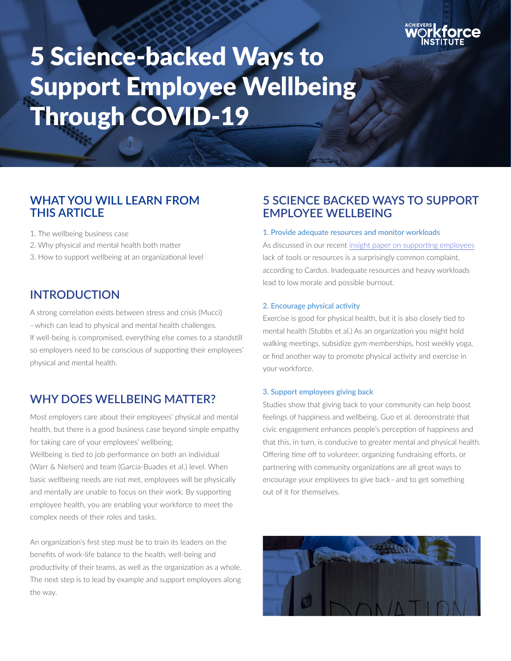

# 5 Science-backed Ways to Support Employee Wellbeing Through COVID-19

# **WHAT YOU WILL LEARN FROM THIS ARTICLE**

1. The wellbeing business case

- 2. Why physical and mental health both matter
- 3. How to support wellbeing at an organizational level

## **INTRODUCTION**

A strong correlation exists between stress and crisis (Mucci) –which can lead to physical and mental health challenges. If well-being is compromised, everything else comes to a standstill so employers need to be conscious of supporting their employees' physical and mental health.

## **WHY DOES WELLBEING MATTER?**

Most employers care about their employees' physical and mental health, but there is a good business case beyond simple empathy for taking care of your employees' wellbeing.

Wellbeing is tied to job performance on both an individual (Warr & Nielsen) and team (Garcia-Buades et al.) level. When basic wellbeing needs are not met, employees will be physically and mentally are unable to focus on their work. By supporting employee health, you are enabling your workforce to meet the complex needs of their roles and tasks.

An organization's first step must be to train its leaders on the benefits of work-life balance to the health, well-being and productivity of their teams, as well as the organization as a whole. The next step is to lead by example and support employees along the way.

## **5 SCIENCE BACKED WAYS TO SUPPORT EMPLOYEE WELLBEING**

#### 1. Provide adequate resources and monitor workloads

As discussed in our recent [insight paper on supporting employees]( https://www.achievers.com/workforce-institute/support-ensuring-employees-have-the-resources-they-need-through-covid-19/ ) lack of tools or resources is a surprisingly common complaint, according to Cardus. Inadequate resources and heavy workloads lead to low morale and possible burnout.

#### 2. Encourage physical activity

Exercise is good for physical health, but it is also closely tied to mental health (Stubbs et al.) As an organization you might hold walking meetings, subsidize gym memberships, host weekly yoga, or find another way to promote physical activity and exercise in your workforce.

#### 3. Support employees giving back

Studies show that giving back to your community can help boost feelings of happiness and wellbeing. Guo et al. demonstrate that civic engagement enhances people's perception of happiness and that this, in turn, is conducive to greater mental and physical health. Offering time off to volunteer, organizing fundraising efforts, or partnering with community organizations are all great ways to encourage your employees to give back–and to get something out of it for themselves.